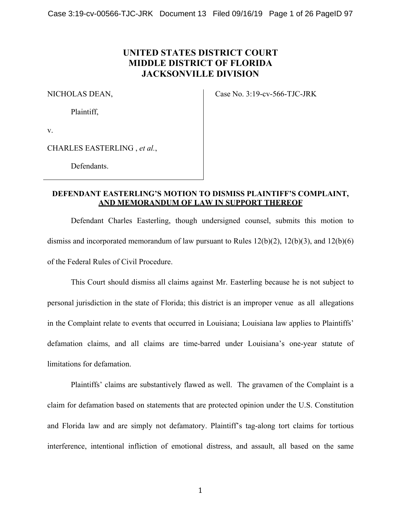# **UNITED STATES DISTRICT COURT MIDDLE DISTRICT OF FLORIDA JACKSONVILLE DIVISION**

NICHOLAS DEAN,

Case No. 3:19-cv-566-TJC-JRK

Plaintiff,

v.

CHARLES EASTERLING , *et al.*,

Defendants.

### **DEFENDANT EASTERLING'S MOTION TO DISMISS PLAINTIFF'S COMPLAINT, AND MEMORANDUM OF LAW IN SUPPORT THEREOF**

Defendant Charles Easterling, though undersigned counsel, submits this motion to dismiss and incorporated memorandum of law pursuant to Rules 12(b)(2), 12(b)(3), and 12(b)(6) of the Federal Rules of Civil Procedure.

This Court should dismiss all claims against Mr. Easterling because he is not subject to personal jurisdiction in the state of Florida; this district is an improper venue as all allegations in the Complaint relate to events that occurred in Louisiana; Louisiana law applies to Plaintiffs' defamation claims, and all claims are time-barred under Louisiana's one-year statute of limitations for defamation.

Plaintiffs' claims are substantively flawed as well. The gravamen of the Complaint is a claim for defamation based on statements that are protected opinion under the U.S. Constitution and Florida law and are simply not defamatory. Plaintiff's tag-along tort claims for tortious interference, intentional infliction of emotional distress, and assault, all based on the same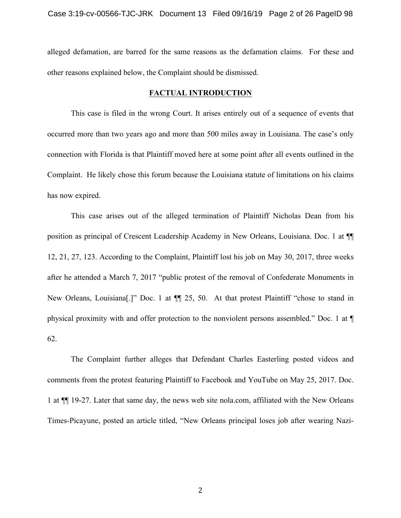alleged defamation, are barred for the same reasons as the defamation claims. For these and other reasons explained below, the Complaint should be dismissed.

#### **FACTUAL INTRODUCTION**

This case is filed in the wrong Court. It arises entirely out of a sequence of events that occurred more than two years ago and more than 500 miles away in Louisiana. The case's only connection with Florida is that Plaintiff moved here at some point after all events outlined in the Complaint. He likely chose this forum because the Louisiana statute of limitations on his claims has now expired.

This case arises out of the alleged termination of Plaintiff Nicholas Dean from his position as principal of Crescent Leadership Academy in New Orleans, Louisiana. Doc. 1 at ¶¶ 12, 21, 27, 123. According to the Complaint, Plaintiff lost his job on May 30, 2017, three weeks after he attended a March 7, 2017 "public protest of the removal of Confederate Monuments in New Orleans, Louisiana<sup>[1]</sup> Doc. 1 at  $\P$  25, 50. At that protest Plaintiff "chose to stand in physical proximity with and offer protection to the nonviolent persons assembled." Doc. 1 at ¶ 62.

The Complaint further alleges that Defendant Charles Easterling posted videos and comments from the protest featuring Plaintiff to Facebook and YouTube on May 25, 2017. Doc. 1 at ¶¶ 19-27. Later that same day, the news web site nola.com, affiliated with the New Orleans Times-Picayune, posted an article titled, "New Orleans principal loses job after wearing Nazi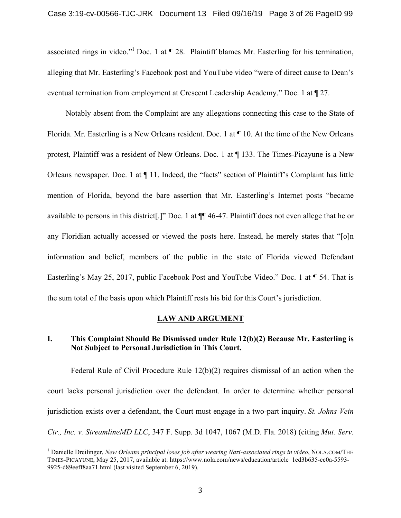associated rings in video."1 Doc. 1 at ¶ 28. Plaintiff blames Mr. Easterling for his termination, alleging that Mr. Easterling's Facebook post and YouTube video "were of direct cause to Dean's eventual termination from employment at Crescent Leadership Academy." Doc. 1 at ¶ 27.

Notably absent from the Complaint are any allegations connecting this case to the State of Florida. Mr. Easterling is a New Orleans resident. Doc. 1 at ¶ 10. At the time of the New Orleans protest, Plaintiff was a resident of New Orleans. Doc. 1 at ¶ 133. The Times-Picayune is a New Orleans newspaper. Doc. 1 at ¶ 11. Indeed, the "facts" section of Plaintiff's Complaint has little mention of Florida, beyond the bare assertion that Mr. Easterling's Internet posts "became available to persons in this district[.]" Doc. 1 at ¶¶ 46-47. Plaintiff does not even allege that he or any Floridian actually accessed or viewed the posts here. Instead, he merely states that "[o]n information and belief, members of the public in the state of Florida viewed Defendant Easterling's May 25, 2017, public Facebook Post and YouTube Video." Doc. 1 at ¶ 54. That is the sum total of the basis upon which Plaintiff rests his bid for this Court's jurisdiction.

#### **LAW AND ARGUMENT**

## **I. This Complaint Should Be Dismissed under Rule 12(b)(2) Because Mr. Easterling is Not Subject to Personal Jurisdiction in This Court.**

Federal Rule of Civil Procedure Rule 12(b)(2) requires dismissal of an action when the court lacks personal jurisdiction over the defendant. In order to determine whether personal jurisdiction exists over a defendant, the Court must engage in a two-part inquiry. *St. Johns Vein Ctr., Inc. v. StreamlineMD LLC*, 347 F. Supp. 3d 1047, 1067 (M.D. Fla. 2018) (citing *Mut. Serv.* 

 <sup>1</sup> Danielle Dreilinger, *New Orleans principal loses job after wearing Nazi-associated rings in video*, NOLA.COM/THE TIMES-PICAYUNE, May 25, 2017, available at: https://www.nola.com/news/education/article\_1ed3b635-cc0a-5593- 9925-d89eeff8aa71.html (last visited September 6, 2019).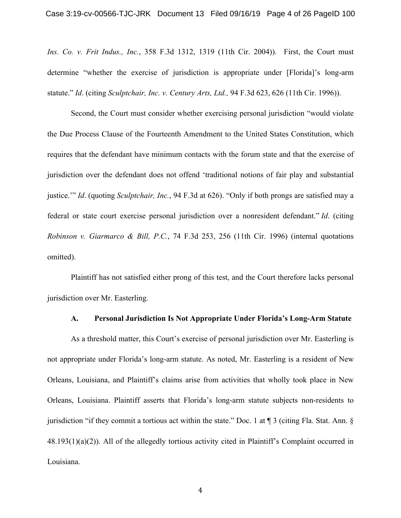*Ins. Co. v. Frit Indus., Inc.*, 358 F.3d 1312, 1319 (11th Cir. 2004)). First, the Court must determine "whether the exercise of jurisdiction is appropriate under [Florida]'s long-arm statute." *Id*. (citing *Sculptchair, Inc. v. Century Arts, Ltd.,* 94 F.3d 623, 626 (11th Cir. 1996)).

Second, the Court must consider whether exercising personal jurisdiction "would violate the Due Process Clause of the Fourteenth Amendment to the United States Constitution, which requires that the defendant have minimum contacts with the forum state and that the exercise of jurisdiction over the defendant does not offend 'traditional notions of fair play and substantial justice.'" *Id*. (quoting *Sculptchair, Inc.*, 94 F.3d at 626). "Only if both prongs are satisfied may a federal or state court exercise personal jurisdiction over a nonresident defendant." *Id*. (citing *Robinson v. Giarmarco & Bill, P.C.*, 74 F.3d 253, 256 (11th Cir. 1996) (internal quotations omitted).

Plaintiff has not satisfied either prong of this test, and the Court therefore lacks personal jurisdiction over Mr. Easterling.

### **A. Personal Jurisdiction Is Not Appropriate Under Florida's Long-Arm Statute**

As a threshold matter, this Court's exercise of personal jurisdiction over Mr. Easterling is not appropriate under Florida's long-arm statute. As noted, Mr. Easterling is a resident of New Orleans, Louisiana, and Plaintiff's claims arise from activities that wholly took place in New Orleans, Louisiana. Plaintiff asserts that Florida's long-arm statute subjects non-residents to jurisdiction "if they commit a tortious act within the state." Doc. 1 at ¶ 3 (citing Fla. Stat. Ann. § 48.193(1)(a)(2)). All of the allegedly tortious activity cited in Plaintiff's Complaint occurred in Louisiana.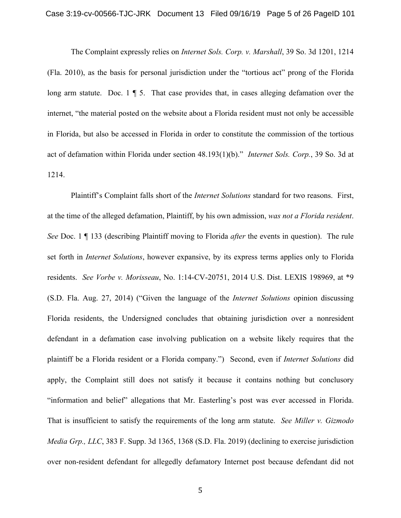The Complaint expressly relies on *Internet Sols. Corp. v. Marshall*, 39 So. 3d 1201, 1214 (Fla. 2010), as the basis for personal jurisdiction under the "tortious act" prong of the Florida long arm statute. Doc. 1 ¶ 5. That case provides that, in cases alleging defamation over the internet, "the material posted on the website about a Florida resident must not only be accessible in Florida, but also be accessed in Florida in order to constitute the commission of the tortious act of defamation within Florida under section 48.193(1)(b)." *Internet Sols. Corp.*, 39 So. 3d at 1214.

Plaintiff's Complaint falls short of the *Internet Solutions* standard for two reasons. First, at the time of the alleged defamation, Plaintiff, by his own admission, *was not a Florida resident*. *See* Doc. 1 ¶ 133 (describing Plaintiff moving to Florida *after* the events in question). The rule set forth in *Internet Solutions*, however expansive, by its express terms applies only to Florida residents. *See Vorbe v. Morisseau*, No. 1:14-CV-20751, 2014 U.S. Dist. LEXIS 198969, at \*9 (S.D. Fla. Aug. 27, 2014) ("Given the language of the *Internet Solutions* opinion discussing Florida residents, the Undersigned concludes that obtaining jurisdiction over a nonresident defendant in a defamation case involving publication on a website likely requires that the plaintiff be a Florida resident or a Florida company.") Second, even if *Internet Solutions* did apply, the Complaint still does not satisfy it because it contains nothing but conclusory "information and belief" allegations that Mr. Easterling's post was ever accessed in Florida. That is insufficient to satisfy the requirements of the long arm statute. *See Miller v. Gizmodo Media Grp., LLC*, 383 F. Supp. 3d 1365, 1368 (S.D. Fla. 2019) (declining to exercise jurisdiction over non-resident defendant for allegedly defamatory Internet post because defendant did not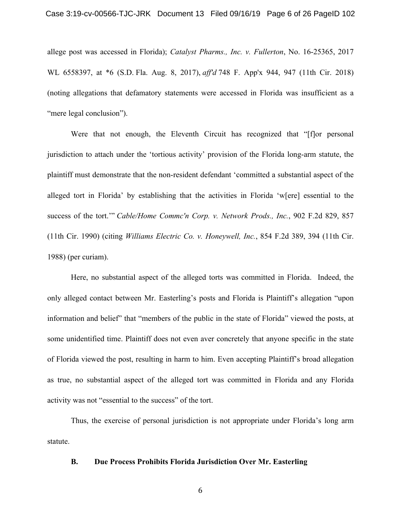allege post was accessed in Florida); *Catalyst Pharms., Inc. v. Fullerton*, No. 16-25365, 2017 WL 6558397, at \*6 (S.D. Fla. Aug. 8, 2017), *aff'd* 748 F. App'x 944, 947 (11th Cir. 2018) (noting allegations that defamatory statements were accessed in Florida was insufficient as a "mere legal conclusion").

Were that not enough, the Eleventh Circuit has recognized that "[f]or personal jurisdiction to attach under the 'tortious activity' provision of the Florida long-arm statute, the plaintiff must demonstrate that the non-resident defendant 'committed a substantial aspect of the alleged tort in Florida' by establishing that the activities in Florida 'w[ere] essential to the success of the tort.'" *Cable/Home Commc'n Corp. v. Network Prods., Inc.*, 902 F.2d 829, 857 (11th Cir. 1990) (citing *Williams Electric Co. v. Honeywell, Inc.*, 854 F.2d 389, 394 (11th Cir. 1988) (per curiam).

Here, no substantial aspect of the alleged torts was committed in Florida. Indeed, the only alleged contact between Mr. Easterling's posts and Florida is Plaintiff's allegation "upon information and belief" that "members of the public in the state of Florida" viewed the posts, at some unidentified time. Plaintiff does not even aver concretely that anyone specific in the state of Florida viewed the post, resulting in harm to him. Even accepting Plaintiff's broad allegation as true, no substantial aspect of the alleged tort was committed in Florida and any Florida activity was not "essential to the success" of the tort.

Thus, the exercise of personal jurisdiction is not appropriate under Florida's long arm statute.

### **B. Due Process Prohibits Florida Jurisdiction Over Mr. Easterling**

6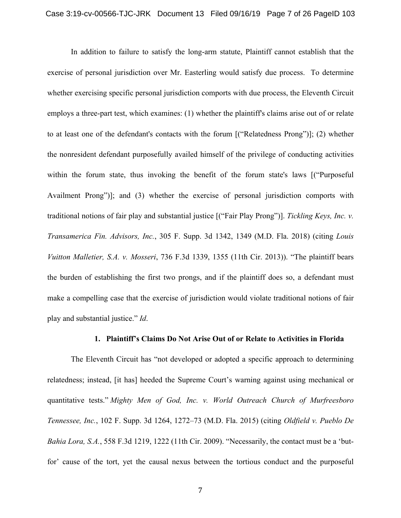In addition to failure to satisfy the long-arm statute, Plaintiff cannot establish that the exercise of personal jurisdiction over Mr. Easterling would satisfy due process. To determine whether exercising specific personal jurisdiction comports with due process, the Eleventh Circuit employs a three-part test, which examines: (1) whether the plaintiff's claims arise out of or relate to at least one of the defendant's contacts with the forum [("Relatedness Prong")]; (2) whether the nonresident defendant purposefully availed himself of the privilege of conducting activities within the forum state, thus invoking the benefit of the forum state's laws  $\left[\right]$  ("Purposeful") Availment Prong")]; and (3) whether the exercise of personal jurisdiction comports with traditional notions of fair play and substantial justice [("Fair Play Prong")]. *Tickling Keys, Inc. v. Transamerica Fin. Advisors, Inc.*, 305 F. Supp. 3d 1342, 1349 (M.D. Fla. 2018) (citing *Louis Vuitton Malletier, S.A. v. Mosseri*, 736 F.3d 1339, 1355 (11th Cir. 2013)). "The plaintiff bears the burden of establishing the first two prongs, and if the plaintiff does so, a defendant must make a compelling case that the exercise of jurisdiction would violate traditional notions of fair play and substantial justice." *Id*.

### **1. Plaintiff's Claims Do Not Arise Out of or Relate to Activities in Florida**

The Eleventh Circuit has "not developed or adopted a specific approach to determining relatedness; instead, [it has] heeded the Supreme Court's warning against using mechanical or quantitative tests." *Mighty Men of God, Inc. v. World Outreach Church of Murfreesboro Tennessee, Inc.*, 102 F. Supp. 3d 1264, 1272–73 (M.D. Fla. 2015) (citing *Oldfield v. Pueblo De Bahia Lora, S.A.*, 558 F.3d 1219, 1222 (11th Cir. 2009). "Necessarily, the contact must be a 'butfor' cause of the tort, yet the causal nexus between the tortious conduct and the purposeful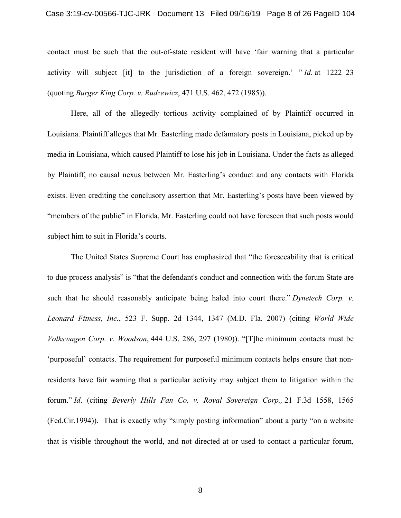#### Case 3:19-cv-00566-TJC-JRK Document 13 Filed 09/16/19 Page 8 of 26 PageID 104

contact must be such that the out-of-state resident will have 'fair warning that a particular activity will subject [it] to the jurisdiction of a foreign sovereign.' " *Id*. at 1222–23 (quoting *Burger King Corp. v. Rudzewicz*, 471 U.S. 462, 472 (1985)).

Here, all of the allegedly tortious activity complained of by Plaintiff occurred in Louisiana. Plaintiff alleges that Mr. Easterling made defamatory posts in Louisiana, picked up by media in Louisiana, which caused Plaintiff to lose his job in Louisiana. Under the facts as alleged by Plaintiff, no causal nexus between Mr. Easterling's conduct and any contacts with Florida exists. Even crediting the conclusory assertion that Mr. Easterling's posts have been viewed by "members of the public" in Florida, Mr. Easterling could not have foreseen that such posts would subject him to suit in Florida's courts.

The United States Supreme Court has emphasized that "the foreseeability that is critical to due process analysis" is "that the defendant's conduct and connection with the forum State are such that he should reasonably anticipate being haled into court there." *Dynetech Corp. v. Leonard Fitness, Inc.*, 523 F. Supp. 2d 1344, 1347 (M.D. Fla. 2007) (citing *World–Wide Volkswagen Corp. v. Woodson*, 444 U.S. 286, 297 (1980)). "[T]he minimum contacts must be 'purposeful' contacts. The requirement for purposeful minimum contacts helps ensure that nonresidents have fair warning that a particular activity may subject them to litigation within the forum." *Id*. (citing *Beverly Hills Fan Co. v. Royal Sovereign Corp.,* 21 F.3d 1558, 1565 (Fed.Cir.1994)). That is exactly why "simply posting information" about a party "on a website that is visible throughout the world, and not directed at or used to contact a particular forum,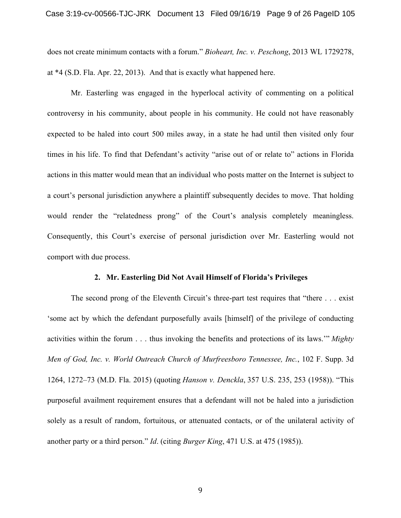does not create minimum contacts with a forum." *Bioheart, Inc. v. Peschong*, 2013 WL 1729278, at \*4 (S.D. Fla. Apr. 22, 2013). And that is exactly what happened here.

Mr. Easterling was engaged in the hyperlocal activity of commenting on a political controversy in his community, about people in his community. He could not have reasonably expected to be haled into court 500 miles away, in a state he had until then visited only four times in his life. To find that Defendant's activity "arise out of or relate to" actions in Florida actions in this matter would mean that an individual who posts matter on the Internet is subject to a court's personal jurisdiction anywhere a plaintiff subsequently decides to move. That holding would render the "relatedness prong" of the Court's analysis completely meaningless. Consequently, this Court's exercise of personal jurisdiction over Mr. Easterling would not comport with due process.

## **2. Mr. Easterling Did Not Avail Himself of Florida's Privileges**

The second prong of the Eleventh Circuit's three-part test requires that "there . . . exist 'some act by which the defendant purposefully avails [himself] of the privilege of conducting activities within the forum . . . thus invoking the benefits and protections of its laws.'" *Mighty Men of God, Inc. v. World Outreach Church of Murfreesboro Tennessee, Inc.*, 102 F. Supp. 3d 1264, 1272–73 (M.D. Fla. 2015) (quoting *Hanson v. Denckla*, 357 U.S. 235, 253 (1958)). "This purposeful availment requirement ensures that a defendant will not be haled into a jurisdiction solely as a result of random, fortuitous, or attenuated contacts, or of the unilateral activity of another party or a third person." *Id*. (citing *Burger King*, 471 U.S. at 475 (1985)).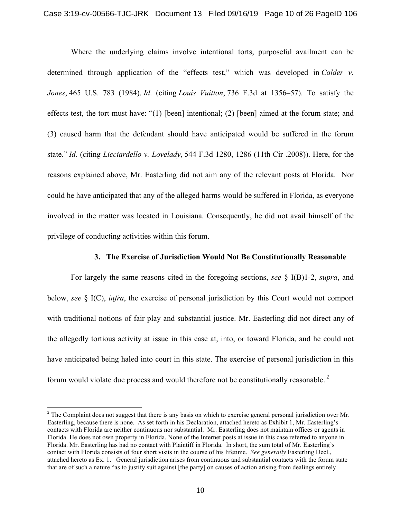Where the underlying claims involve intentional torts, purposeful availment can be determined through application of the "effects test," which was developed in *Calder v. Jones*, 465 U.S. 783 (1984). *Id*. (citing *Louis Vuitton*, 736 F.3d at 1356–57). To satisfy the effects test, the tort must have: "(1) [been] intentional; (2) [been] aimed at the forum state; and (3) caused harm that the defendant should have anticipated would be suffered in the forum state." *Id*. (citing *Licciardello v. Lovelady*, 544 F.3d 1280, 1286 (11th Cir .2008)). Here, for the reasons explained above, Mr. Easterling did not aim any of the relevant posts at Florida. Nor could he have anticipated that any of the alleged harms would be suffered in Florida, as everyone involved in the matter was located in Louisiana. Consequently, he did not avail himself of the privilege of conducting activities within this forum.

### **3. The Exercise of Jurisdiction Would Not Be Constitutionally Reasonable**

For largely the same reasons cited in the foregoing sections, *see* § I(B)1-2, *supra*, and below, *see* § I(C), *infra*, the exercise of personal jurisdiction by this Court would not comport with traditional notions of fair play and substantial justice. Mr. Easterling did not direct any of the allegedly tortious activity at issue in this case at, into, or toward Florida, and he could not have anticipated being haled into court in this state. The exercise of personal jurisdiction in this forum would violate due process and would therefore not be constitutionally reasonable. <sup>2</sup>

 $2$  The Complaint does not suggest that there is any basis on which to exercise general personal jurisdiction over Mr. Easterling, because there is none. As set forth in his Declaration, attached hereto as Exhibit 1, Mr. Easterling's contacts with Florida are neither continuous nor substantial. Mr. Easterling does not maintain offices or agents in Florida. He does not own property in Florida. None of the Internet posts at issue in this case referred to anyone in Florida. Mr. Easterling has had no contact with Plaintiff in Florida. In short, the sum total of Mr. Easterling's contact with Florida consists of four short visits in the course of his lifetime. *See generally* Easterling Decl., attached hereto as Ex. 1. General jurisdiction arises from continuous and substantial contacts with the forum state that are of such a nature "as to justify suit against [the party] on causes of action arising from dealings entirely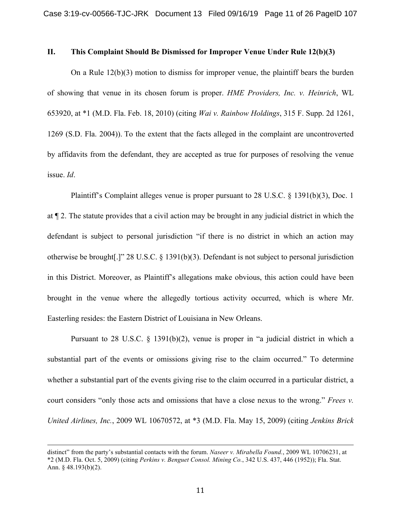### **II. This Complaint Should Be Dismissed for Improper Venue Under Rule 12(b)(3)**

On a Rule 12(b)(3) motion to dismiss for improper venue, the plaintiff bears the burden of showing that venue in its chosen forum is proper. *HME Providers, Inc. v. Heinrich*, WL 653920, at \*1 (M.D. Fla. Feb. 18, 2010) (citing *Wai v. Rainbow Holdings*, 315 F. Supp. 2d 1261, 1269 (S.D. Fla. 2004)). To the extent that the facts alleged in the complaint are uncontroverted by affidavits from the defendant, they are accepted as true for purposes of resolving the venue issue. *Id*.

Plaintiff's Complaint alleges venue is proper pursuant to 28 U.S.C. § 1391(b)(3), Doc. 1 at ¶ 2. The statute provides that a civil action may be brought in any judicial district in which the defendant is subject to personal jurisdiction "if there is no district in which an action may otherwise be brought[.]" 28 U.S.C. § 1391(b)(3). Defendant is not subject to personal jurisdiction in this District. Moreover, as Plaintiff's allegations make obvious, this action could have been brought in the venue where the allegedly tortious activity occurred, which is where Mr. Easterling resides: the Eastern District of Louisiana in New Orleans.

Pursuant to 28 U.S.C. § 1391(b)(2), venue is proper in "a judicial district in which a substantial part of the events or omissions giving rise to the claim occurred." To determine whether a substantial part of the events giving rise to the claim occurred in a particular district, a court considers "only those acts and omissions that have a close nexus to the wrong." *Frees v. United Airlines, Inc.*, 2009 WL 10670572, at \*3 (M.D. Fla. May 15, 2009) (citing *Jenkins Brick* 

<u> 1989 - Andrea San Andrea San Andrea San Andrea San Andrea San Andrea San Andrea San Andrea San Andrea San An</u>

distinct" from the party's substantial contacts with the forum. *Naseer v. Mirabella Found.*, 2009 WL 10706231, at \*2 (M.D. Fla. Oct. 5, 2009) (citing *Perkins v. Benguet Consol. Mining Co.*, 342 U.S. 437, 446 (1952)); Fla. Stat. Ann. § 48.193(b)(2).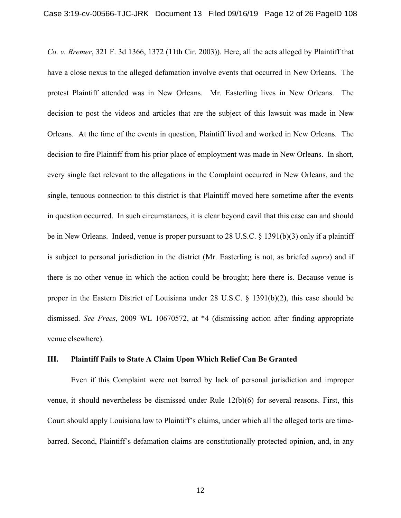*Co. v. Bremer*, 321 F. 3d 1366, 1372 (11th Cir. 2003)). Here, all the acts alleged by Plaintiff that have a close nexus to the alleged defamation involve events that occurred in New Orleans. The protest Plaintiff attended was in New Orleans. Mr. Easterling lives in New Orleans. The decision to post the videos and articles that are the subject of this lawsuit was made in New Orleans. At the time of the events in question, Plaintiff lived and worked in New Orleans. The decision to fire Plaintiff from his prior place of employment was made in New Orleans. In short, every single fact relevant to the allegations in the Complaint occurred in New Orleans, and the single, tenuous connection to this district is that Plaintiff moved here sometime after the events in question occurred. In such circumstances, it is clear beyond cavil that this case can and should be in New Orleans. Indeed, venue is proper pursuant to 28 U.S.C. § 1391(b)(3) only if a plaintiff is subject to personal jurisdiction in the district (Mr. Easterling is not, as briefed *supra*) and if there is no other venue in which the action could be brought; here there is. Because venue is proper in the Eastern District of Louisiana under 28 U.S.C. § 1391(b)(2), this case should be dismissed. *See Frees*, 2009 WL 10670572, at \*4 (dismissing action after finding appropriate venue elsewhere).

#### **III. Plaintiff Fails to State A Claim Upon Which Relief Can Be Granted**

Even if this Complaint were not barred by lack of personal jurisdiction and improper venue, it should nevertheless be dismissed under Rule 12(b)(6) for several reasons. First, this Court should apply Louisiana law to Plaintiff's claims, under which all the alleged torts are timebarred. Second, Plaintiff's defamation claims are constitutionally protected opinion, and, in any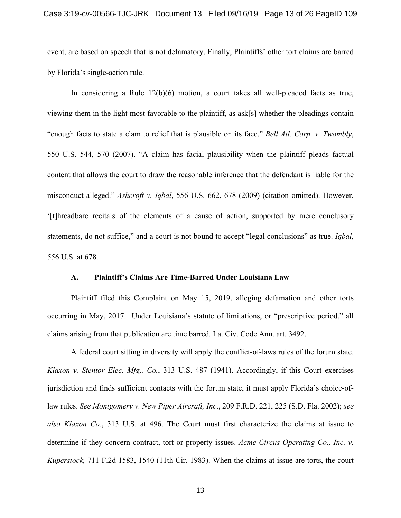event, are based on speech that is not defamatory. Finally, Plaintiffs' other tort claims are barred by Florida's single-action rule.

In considering a Rule 12(b)(6) motion, a court takes all well-pleaded facts as true, viewing them in the light most favorable to the plaintiff, as ask[s] whether the pleadings contain "enough facts to state a clam to relief that is plausible on its face." *Bell Atl. Corp. v. Twombly*, 550 U.S. 544, 570 (2007). "A claim has facial plausibility when the plaintiff pleads factual content that allows the court to draw the reasonable inference that the defendant is liable for the misconduct alleged." *Ashcroft v. Iqbal*, 556 U.S. 662, 678 (2009) (citation omitted). However, '[t]hreadbare recitals of the elements of a cause of action, supported by mere conclusory statements, do not suffice," and a court is not bound to accept "legal conclusions" as true. *Iqbal*, 556 U.S. at 678.

### **A. Plaintiff's Claims Are Time-Barred Under Louisiana Law**

Plaintiff filed this Complaint on May 15, 2019, alleging defamation and other torts occurring in May, 2017. Under Louisiana's statute of limitations, or "prescriptive period," all claims arising from that publication are time barred. La. Civ. Code Ann. art. 3492.

A federal court sitting in diversity will apply the conflict-of-laws rules of the forum state. *Klaxon v. Stentor Elec. Mfg,. Co.*, 313 U.S. 487 (1941). Accordingly, if this Court exercises jurisdiction and finds sufficient contacts with the forum state, it must apply Florida's choice-oflaw rules. *See Montgomery v. New Piper Aircraft, Inc*., 209 F.R.D. 221, 225 (S.D. Fla. 2002); *see also Klaxon Co.*, 313 U.S. at 496. The Court must first characterize the claims at issue to determine if they concern contract, tort or property issues. *Acme Circus Operating Co., Inc. v. Kuperstock,* 711 F.2d 1583, 1540 (11th Cir. 1983). When the claims at issue are torts, the court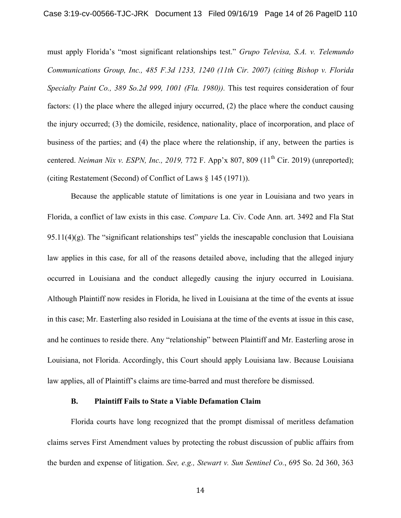must apply Florida's "most significant relationships test." *Grupo Televisa, S.A. v. Telemundo Communications Group, Inc., 485 F.3d 1233, 1240 (11th Cir. 2007) (citing Bishop v. Florida Specialty Paint Co., 389 So.2d 999, 1001 (Fla. 1980)).* This test requires consideration of four factors: (1) the place where the alleged injury occurred, (2) the place where the conduct causing the injury occurred; (3) the domicile, residence, nationality, place of incorporation, and place of business of the parties; and (4) the place where the relationship, if any, between the parties is centered. *Neiman Nix v. ESPN, Inc., 2019, 772 F. App'x 807, 809 (11<sup>th</sup> Cir. 2019) (unreported);* (citing Restatement (Second) of Conflict of Laws § 145 (1971)).

Because the applicable statute of limitations is one year in Louisiana and two years in Florida, a conflict of law exists in this case. *Compare* La. Civ. Code Ann. art. 3492 and Fla Stat  $95.11(4)(g)$ . The "significant relationships test" yields the inescapable conclusion that Louisiana law applies in this case, for all of the reasons detailed above, including that the alleged injury occurred in Louisiana and the conduct allegedly causing the injury occurred in Louisiana. Although Plaintiff now resides in Florida, he lived in Louisiana at the time of the events at issue in this case; Mr. Easterling also resided in Louisiana at the time of the events at issue in this case, and he continues to reside there. Any "relationship" between Plaintiff and Mr. Easterling arose in Louisiana, not Florida. Accordingly, this Court should apply Louisiana law. Because Louisiana law applies, all of Plaintiff's claims are time-barred and must therefore be dismissed.

### **B. Plaintiff Fails to State a Viable Defamation Claim**

Florida courts have long recognized that the prompt dismissal of meritless defamation claims serves First Amendment values by protecting the robust discussion of public affairs from the burden and expense of litigation. *See, e.g., Stewart v. Sun Sentinel Co.*, 695 So. 2d 360, 363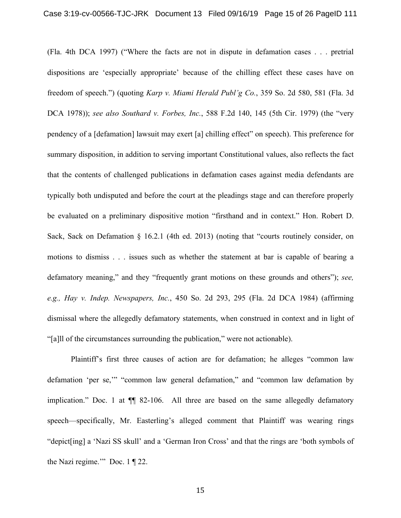(Fla. 4th DCA 1997) ("Where the facts are not in dispute in defamation cases . . . pretrial dispositions are 'especially appropriate' because of the chilling effect these cases have on freedom of speech.") (quoting *Karp v. Miami Herald Publ'g Co.*, 359 So. 2d 580, 581 (Fla. 3d DCA 1978)); *see also Southard v. Forbes, Inc.*, 588 F.2d 140, 145 (5th Cir. 1979) (the "very pendency of a [defamation] lawsuit may exert [a] chilling effect" on speech). This preference for summary disposition, in addition to serving important Constitutional values, also reflects the fact that the contents of challenged publications in defamation cases against media defendants are typically both undisputed and before the court at the pleadings stage and can therefore properly be evaluated on a preliminary dispositive motion "firsthand and in context." Hon. Robert D. Sack, Sack on Defamation § 16.2.1 (4th ed. 2013) (noting that "courts routinely consider, on motions to dismiss . . . issues such as whether the statement at bar is capable of bearing a defamatory meaning," and they "frequently grant motions on these grounds and others"); *see, e.g., Hay v. Indep. Newspapers, Inc.*, 450 So. 2d 293, 295 (Fla. 2d DCA 1984) (affirming dismissal where the allegedly defamatory statements, when construed in context and in light of "[a]ll of the circumstances surrounding the publication," were not actionable).

Plaintiff's first three causes of action are for defamation; he alleges "common law defamation 'per se,'" "common law general defamation," and "common law defamation by implication." Doc. 1 at ¶¶ 82-106. All three are based on the same allegedly defamatory speech—specifically, Mr. Easterling's alleged comment that Plaintiff was wearing rings "depict[ing] a 'Nazi SS skull' and a 'German Iron Cross' and that the rings are 'both symbols of the Nazi regime." Doc. 1 ¶ 22.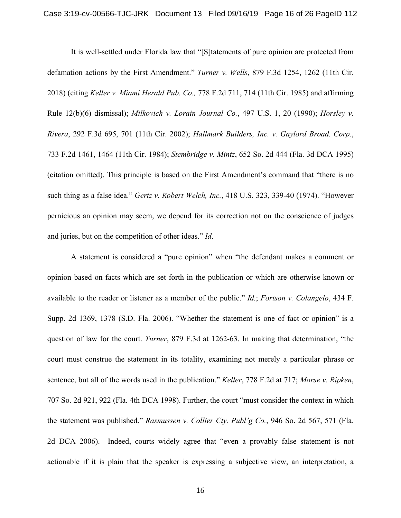It is well-settled under Florida law that "[S]tatements of pure opinion are protected from defamation actions by the First Amendment." *Turner v. Wells*, 879 F.3d 1254, 1262 (11th Cir. 2018) (citing *Keller v. Miami Herald Pub. Co.,* 778 F.2d 711, 714 (11th Cir. 1985) and affirming Rule 12(b)(6) dismissal); *Milkovich v. Lorain Journal Co.*, 497 U.S. 1, 20 (1990); *Horsley v. Rivera*, 292 F.3d 695, 701 (11th Cir. 2002); *Hallmark Builders, Inc. v. Gaylord Broad. Corp.*, 733 F.2d 1461, 1464 (11th Cir. 1984); *Stembridge v. Mintz*, 652 So. 2d 444 (Fla. 3d DCA 1995) (citation omitted). This principle is based on the First Amendment's command that "there is no such thing as a false idea." *Gertz v. Robert Welch, Inc.*, 418 U.S. 323, 339-40 (1974). "However pernicious an opinion may seem, we depend for its correction not on the conscience of judges and juries, but on the competition of other ideas." *Id*.

A statement is considered a "pure opinion" when "the defendant makes a comment or opinion based on facts which are set forth in the publication or which are otherwise known or available to the reader or listener as a member of the public." *Id.*; *Fortson v. Colangelo*, 434 F. Supp. 2d 1369, 1378 (S.D. Fla. 2006). "Whether the statement is one of fact or opinion" is a question of law for the court. *Turner*, 879 F.3d at 1262-63. In making that determination, "the court must construe the statement in its totality, examining not merely a particular phrase or sentence, but all of the words used in the publication." *Keller*, 778 F.2d at 717; *Morse v. Ripken*, 707 So. 2d 921, 922 (Fla. 4th DCA 1998). Further, the court "must consider the context in which the statement was published." *Rasmussen v. Collier Cty. Publ'g Co.*, 946 So. 2d 567, 571 (Fla. 2d DCA 2006). Indeed, courts widely agree that "even a provably false statement is not actionable if it is plain that the speaker is expressing a subjective view, an interpretation, a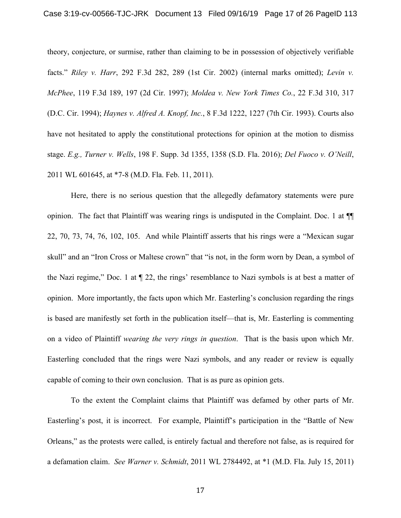theory, conjecture, or surmise, rather than claiming to be in possession of objectively verifiable facts." *Riley v. Harr*, 292 F.3d 282, 289 (1st Cir. 2002) (internal marks omitted); *Levin v. McPhee*, 119 F.3d 189, 197 (2d Cir. 1997); *Moldea v. New York Times Co.*, 22 F.3d 310, 317 (D.C. Cir. 1994); *Haynes v. Alfred A. Knopf, Inc.*, 8 F.3d 1222, 1227 (7th Cir. 1993). Courts also have not hesitated to apply the constitutional protections for opinion at the motion to dismiss stage. *E.g., Turner v. Wells*, 198 F. Supp. 3d 1355, 1358 (S.D. Fla. 2016); *Del Fuoco v. O'Neill*, 2011 WL 601645, at \*7-8 (M.D. Fla. Feb. 11, 2011).

Here, there is no serious question that the allegedly defamatory statements were pure opinion. The fact that Plaintiff was wearing rings is undisputed in the Complaint. Doc. 1 at ¶¶ 22, 70, 73, 74, 76, 102, 105. And while Plaintiff asserts that his rings were a "Mexican sugar skull" and an "Iron Cross or Maltese crown" that "is not, in the form worn by Dean, a symbol of the Nazi regime," Doc. 1 at ¶ 22, the rings' resemblance to Nazi symbols is at best a matter of opinion. More importantly, the facts upon which Mr. Easterling's conclusion regarding the rings is based are manifestly set forth in the publication itself—that is, Mr. Easterling is commenting on a video of Plaintiff *wearing the very rings in question*. That is the basis upon which Mr. Easterling concluded that the rings were Nazi symbols, and any reader or review is equally capable of coming to their own conclusion. That is as pure as opinion gets.

To the extent the Complaint claims that Plaintiff was defamed by other parts of Mr. Easterling's post, it is incorrect. For example, Plaintiff's participation in the "Battle of New Orleans," as the protests were called, is entirely factual and therefore not false, as is required for a defamation claim. *See Warner v. Schmidt*, 2011 WL 2784492, at \*1 (M.D. Fla. July 15, 2011)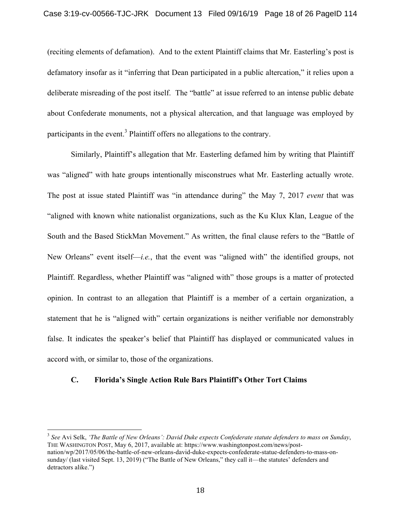(reciting elements of defamation). And to the extent Plaintiff claims that Mr. Easterling's post is defamatory insofar as it "inferring that Dean participated in a public altercation," it relies upon a deliberate misreading of the post itself. The "battle" at issue referred to an intense public debate about Confederate monuments, not a physical altercation, and that language was employed by participants in the event.<sup>3</sup> Plaintiff offers no allegations to the contrary.

Similarly, Plaintiff's allegation that Mr. Easterling defamed him by writing that Plaintiff was "aligned" with hate groups intentionally misconstrues what Mr. Easterling actually wrote. The post at issue stated Plaintiff was "in attendance during" the May 7, 2017 *event* that was "aligned with known white nationalist organizations, such as the Ku Klux Klan, League of the South and the Based StickMan Movement." As written, the final clause refers to the "Battle of New Orleans" event itself—*i.e.*, that the event was "aligned with" the identified groups, not Plaintiff. Regardless, whether Plaintiff was "aligned with" those groups is a matter of protected opinion. In contrast to an allegation that Plaintiff is a member of a certain organization, a statement that he is "aligned with" certain organizations is neither verifiable nor demonstrably false. It indicates the speaker's belief that Plaintiff has displayed or communicated values in accord with, or similar to, those of the organizations.

### **C. Florida's Single Action Rule Bars Plaintiff's Other Tort Claims**

 <sup>3</sup> *See* Avi Selk, *'The Battle of New Orleans': David Duke expects Confederate statute defenders to mass on Sunday*, THE WASHINGTON POST, May 6, 2017, available at: https://www.washingtonpost.com/news/postnation/wp/2017/05/06/the-battle-of-new-orleans-david-duke-expects-confederate-statue-defenders-to-mass-onsunday/ (last visited Sept. 13, 2019) ("The Battle of New Orleans," they call it—the statutes' defenders and detractors alike.")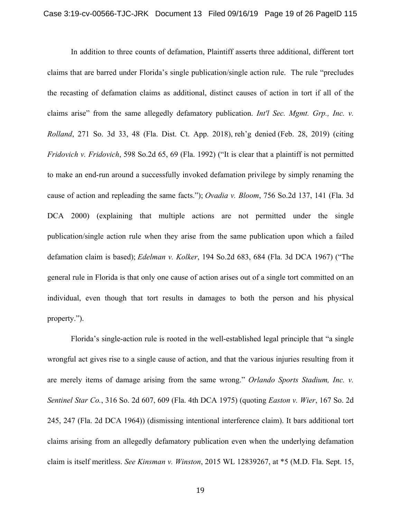In addition to three counts of defamation, Plaintiff asserts three additional, different tort claims that are barred under Florida's single publication/single action rule. The rule "precludes the recasting of defamation claims as additional, distinct causes of action in tort if all of the claims arise" from the same allegedly defamatory publication. *Int'l Sec. Mgmt. Grp., Inc. v. Rolland*, 271 So. 3d 33, 48 (Fla. Dist. Ct. App. 2018), reh'g denied (Feb. 28, 2019) (citing *Fridovich v. Fridovich*, 598 So.2d 65, 69 (Fla. 1992) ("It is clear that a plaintiff is not permitted to make an end-run around a successfully invoked defamation privilege by simply renaming the cause of action and repleading the same facts."); *Ovadia v. Bloom*, 756 So.2d 137, 141 (Fla. 3d DCA 2000) (explaining that multiple actions are not permitted under the single publication/single action rule when they arise from the same publication upon which a failed defamation claim is based); *Edelman v. Kolker*, 194 So.2d 683, 684 (Fla. 3d DCA 1967) ("The general rule in Florida is that only one cause of action arises out of a single tort committed on an individual, even though that tort results in damages to both the person and his physical property.").

Florida's single-action rule is rooted in the well-established legal principle that "a single wrongful act gives rise to a single cause of action, and that the various injuries resulting from it are merely items of damage arising from the same wrong." *Orlando Sports Stadium, Inc. v. Sentinel Star Co.*, 316 So. 2d 607, 609 (Fla. 4th DCA 1975) (quoting *Easton v. Wier*, 167 So. 2d 245, 247 (Fla. 2d DCA 1964)) (dismissing intentional interference claim). It bars additional tort claims arising from an allegedly defamatory publication even when the underlying defamation claim is itself meritless. *See Kinsman v. Winston*, 2015 WL 12839267, at \*5 (M.D. Fla. Sept. 15,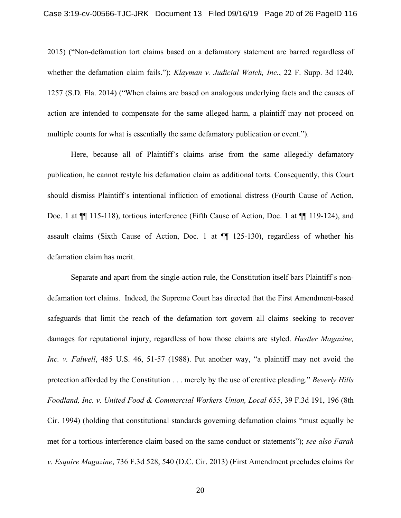2015) ("Non-defamation tort claims based on a defamatory statement are barred regardless of whether the defamation claim fails."); *Klayman v. Judicial Watch, Inc.*, 22 F. Supp. 3d 1240, 1257 (S.D. Fla. 2014) ("When claims are based on analogous underlying facts and the causes of action are intended to compensate for the same alleged harm, a plaintiff may not proceed on multiple counts for what is essentially the same defamatory publication or event.").

Here, because all of Plaintiff's claims arise from the same allegedly defamatory publication, he cannot restyle his defamation claim as additional torts. Consequently, this Court should dismiss Plaintiff's intentional infliction of emotional distress (Fourth Cause of Action, Doc. 1 at  $\P$  115-118), tortious interference (Fifth Cause of Action, Doc. 1 at  $\P$  119-124), and assault claims (Sixth Cause of Action, Doc. 1 at ¶¶ 125-130), regardless of whether his defamation claim has merit.

Separate and apart from the single-action rule, the Constitution itself bars Plaintiff's nondefamation tort claims. Indeed, the Supreme Court has directed that the First Amendment-based safeguards that limit the reach of the defamation tort govern all claims seeking to recover damages for reputational injury, regardless of how those claims are styled. *Hustler Magazine, Inc. v. Falwell*, 485 U.S. 46, 51-57 (1988). Put another way, "a plaintiff may not avoid the protection afforded by the Constitution . . . merely by the use of creative pleading." *Beverly Hills Foodland, Inc. v. United Food & Commercial Workers Union, Local 655*, 39 F.3d 191, 196 (8th Cir. 1994) (holding that constitutional standards governing defamation claims "must equally be met for a tortious interference claim based on the same conduct or statements"); *see also Farah v. Esquire Magazine*, 736 F.3d 528, 540 (D.C. Cir. 2013) (First Amendment precludes claims for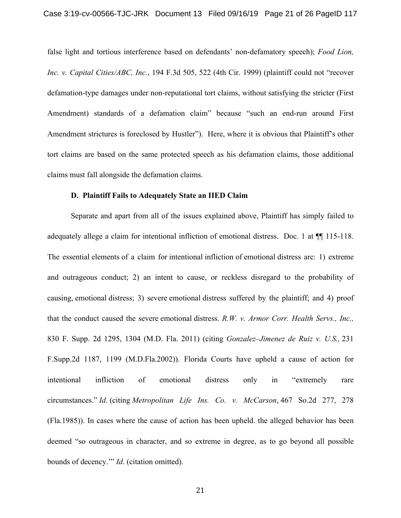false light and tortious interference based on defendants' non-defamatory speech); *Food Lion, Inc. v. Capital Cities/ABC, Inc.*, 194 F.3d 505, 522 (4th Cir. 1999) (plaintiff could not "recover defamation-type damages under non-reputational tort claims, without satisfying the stricter (First Amendment) standards of a defamation claim" because "such an end-run around First Amendment strictures is foreclosed by Hustler"). Here, where it is obvious that Plaintiff's other tort claims are based on the same protected speech as his defamation claims, those additional claims must fall alongside the defamation claims.

#### **D. Plaintiff Fails to Adequately State an IIED Claim**

Separate and apart from all of the issues explained above, Plaintiff has simply failed to adequately allege a claim for intentional infliction of emotional distress. Doc. 1 at  $\P$  115-118. The essential elements of a claim for intentional infliction of emotional distress arc: 1) extreme and outrageous conduct; 2) an intent to cause, or reckless disregard to the probability of causing, emotional distress; 3) severe emotional distress suffered by the plaintiff; and 4) proof that the conduct caused the severe emotional distress. *R.W. v. Armor Corr. Health Servs., Inc.,*  830 F. Supp. 2d 1295, 1304 (M.D. Fla. 2011) (citing *Gonzalez–Jimenez de Ruiz v. U.S.,* 231 F.Supp.2d 1187, 1199 (M.D.Fla.2002)). Florida Courts have upheld a cause of action for intentional infliction of emotional distress only in "extremely rare circumstances." *Id*. (citing *Metropolitan Life Ins. Co. v. McCarson*, 467 So.2d 277, 278 (Fla.1985)). In cases where the cause of action has been upheld. the alleged behavior has been deemed "so outrageous in character, and so extreme in degree, as to go beyond all possible bounds of decency.'" *Id*. (citation omitted).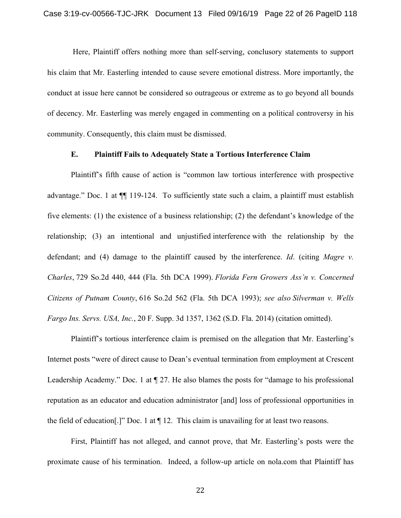Here, Plaintiff offers nothing more than self-serving, conclusory statements to support his claim that Mr. Easterling intended to cause severe emotional distress. More importantly, the conduct at issue here cannot be considered so outrageous or extreme as to go beyond all bounds of decency. Mr. Easterling was merely engaged in commenting on a political controversy in his community. Consequently, this claim must be dismissed.

### **E. Plaintiff Fails to Adequately State a Tortious Interference Claim**

Plaintiff's fifth cause of action is "common law tortious interference with prospective advantage." Doc. 1 at ¶¶ 119-124. To sufficiently state such a claim, a plaintiff must establish five elements: (1) the existence of a business relationship; (2) the defendant's knowledge of the relationship; (3) an intentional and unjustified interference with the relationship by the defendant; and (4) damage to the plaintiff caused by the interference. *Id*. (citing *Magre v. Charles*, 729 So.2d 440, 444 (Fla. 5th DCA 1999). *Florida Fern Growers Ass'n v. Concerned Citizens of Putnam County*, 616 So.2d 562 (Fla. 5th DCA 1993); *see also Silverman v. Wells Fargo Ins. Servs. USA, Inc.*, 20 F. Supp. 3d 1357, 1362 (S.D. Fla. 2014) (citation omitted).

Plaintiff's tortious interference claim is premised on the allegation that Mr. Easterling's Internet posts "were of direct cause to Dean's eventual termination from employment at Crescent Leadership Academy." Doc. 1 at ¶ 27. He also blames the posts for "damage to his professional reputation as an educator and education administrator [and] loss of professional opportunities in the field of education[.]" Doc. 1 at ¶ 12. This claim is unavailing for at least two reasons.

First, Plaintiff has not alleged, and cannot prove, that Mr. Easterling's posts were the proximate cause of his termination. Indeed, a follow-up article on nola.com that Plaintiff has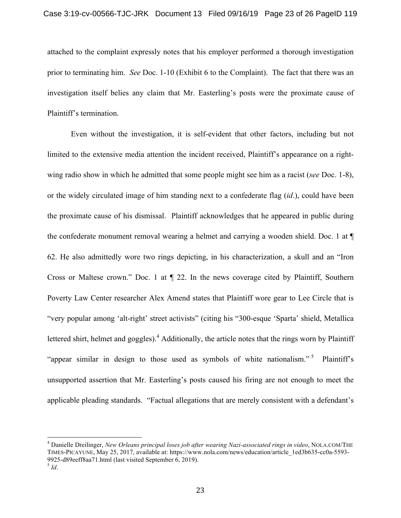attached to the complaint expressly notes that his employer performed a thorough investigation prior to terminating him. *See* Doc. 1-10 (Exhibit 6 to the Complaint). The fact that there was an investigation itself belies any claim that Mr. Easterling's posts were the proximate cause of Plaintiff's termination.

Even without the investigation, it is self-evident that other factors, including but not limited to the extensive media attention the incident received, Plaintiff's appearance on a rightwing radio show in which he admitted that some people might see him as a racist (*see* Doc. 1-8), or the widely circulated image of him standing next to a confederate flag (*id*.), could have been the proximate cause of his dismissal. Plaintiff acknowledges that he appeared in public during the confederate monument removal wearing a helmet and carrying a wooden shield. Doc. 1 at ¶ 62. He also admittedly wore two rings depicting, in his characterization, a skull and an "Iron Cross or Maltese crown." Doc. 1 at ¶ 22. In the news coverage cited by Plaintiff, Southern Poverty Law Center researcher Alex Amend states that Plaintiff wore gear to Lee Circle that is "very popular among 'alt-right' street activists" (citing his "300-esque 'Sparta' shield, Metallica lettered shirt, helmet and goggles).<sup>4</sup> Additionally, the article notes that the rings worn by Plaintiff "appear similar in design to those used as symbols of white nationalism."<sup>5</sup> Plaintiff's unsupported assertion that Mr. Easterling's posts caused his firing are not enough to meet the applicable pleading standards. "Factual allegations that are merely consistent with a defendant's

 <sup>4</sup> Danielle Dreilinger, *New Orleans principal loses job after wearing Nazi-associated rings in video*, NOLA.COM/THE TIMES-PICAYUNE, May 25, 2017, available at: https://www.nola.com/news/education/article\_1ed3b635-cc0a-5593- 9925-d89eeff8aa71.html (last visited September 6, 2019). <sup>5</sup> *Id*.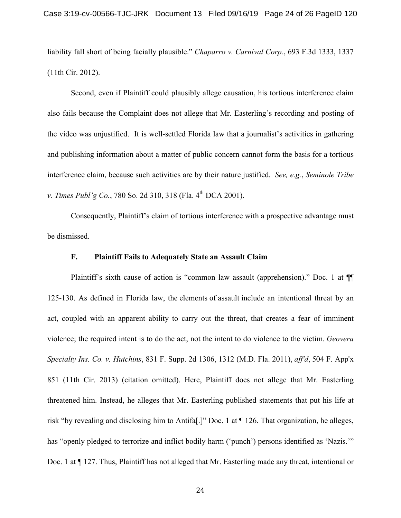liability fall short of being facially plausible." *Chaparro v. Carnival Corp.*, 693 F.3d 1333, 1337 (11th Cir. 2012).

Second, even if Plaintiff could plausibly allege causation, his tortious interference claim also fails because the Complaint does not allege that Mr. Easterling's recording and posting of the video was unjustified. It is well-settled Florida law that a journalist's activities in gathering and publishing information about a matter of public concern cannot form the basis for a tortious interference claim, because such activities are by their nature justified. *See, e.g.*, *Seminole Tribe v. Times Publ'g Co.*, 780 So. 2d 310, 318 (Fla. 4<sup>th</sup> DCA 2001).

Consequently, Plaintiff's claim of tortious interference with a prospective advantage must be dismissed.

### **F. Plaintiff Fails to Adequately State an Assault Claim**

Plaintiff's sixth cause of action is "common law assault (apprehension)." Doc. 1 at  $\P$ 125-130. As defined in Florida law, the elements of assault include an intentional threat by an act, coupled with an apparent ability to carry out the threat, that creates a fear of imminent violence; the required intent is to do the act, not the intent to do violence to the victim. *Geovera Specialty Ins. Co. v. Hutchins*, 831 F. Supp. 2d 1306, 1312 (M.D. Fla. 2011), *aff'd*, 504 F. App'x 851 (11th Cir. 2013) (citation omitted). Here, Plaintiff does not allege that Mr. Easterling threatened him. Instead, he alleges that Mr. Easterling published statements that put his life at risk "by revealing and disclosing him to Antifa[.]" Doc. 1 at ¶ 126. That organization, he alleges, has "openly pledged to terrorize and inflict bodily harm ('punch') persons identified as 'Nazis."" Doc. 1 at  $\P$  127. Thus, Plaintiff has not alleged that Mr. Easterling made any threat, intentional or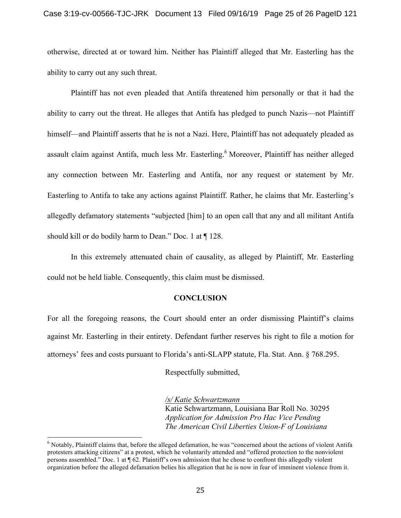otherwise, directed at or toward him. Neither has Plaintiff alleged that Mr. Easterling has the ability to carry out any such threat.

Plaintiff has not even pleaded that Antifa threatened him personally or that it had the ability to carry out the threat. He alleges that Antifa has pledged to punch Nazis—not Plaintiff himself—and Plaintiff asserts that he is not a Nazi. Here, Plaintiff has not adequately pleaded as assault claim against Antifa, much less Mr. Easterling.<sup>6</sup> Moreover, Plaintiff has neither alleged any connection between Mr. Easterling and Antifa, nor any request or statement by Mr. Easterling to Antifa to take any actions against Plaintiff. Rather, he claims that Mr. Easterling's allegedly defamatory statements "subjected [him] to an open call that any and all militant Antifa should kill or do bodily harm to Dean." Doc. 1 at  $\P$  128.

In this extremely attenuated chain of causality, as alleged by Plaintiff, Mr. Easterling could not be held liable. Consequently, this claim must be dismissed.

#### **CONCLUSION**

For all the foregoing reasons, the Court should enter an order dismissing Plaintiff's claims against Mr. Easterling in their entirety. Defendant further reserves his right to file a motion for attorneys' fees and costs pursuant to Florida's anti-SLAPP statute, Fla. Stat. Ann. § 768.295.

Respectfully submitted,

*/s/ Katie Schwartzmann* Katie Schwartzmann, Louisiana Bar Roll No. 30295 *Application for Admission Pro Hac Vice Pending The American Civil Liberties Union-F of Louisiana* 

 <sup>6</sup> Notably, Plaintiff claims that, before the alleged defamation, he was "concerned about the actions of violent Antifa protesters attacking citizens" at a protest, which he voluntarily attended and "offered protection to the nonviolent persons assembled." Doc. 1 at ¶ 62. Plaintiff's own admission that he chose to confront this allegedly violent organization before the alleged defamation belies his allegation that he is now in fear of imminent violence from it.